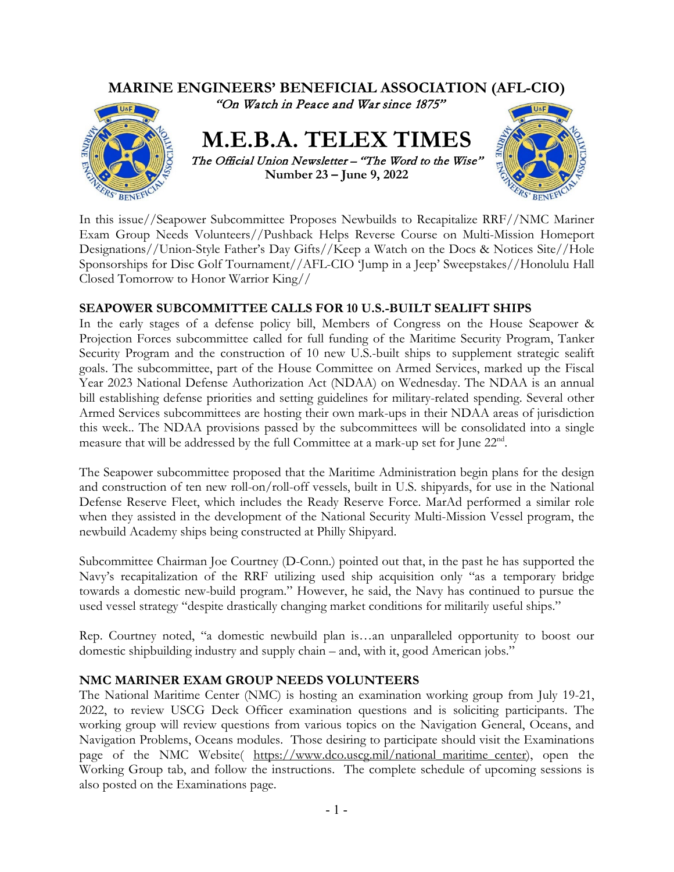

In this issue//Seapower Subcommittee Proposes Newbuilds to Recapitalize RRF//NMC Mariner Exam Group Needs Volunteers//Pushback Helps Reverse Course on Multi-Mission Homeport Designations//Union-Style Father's Day Gifts//Keep a Watch on the Docs & Notices Site//Hole Sponsorships for Disc Golf Tournament//AFL-CIO 'Jump in a Jeep' Sweepstakes//Honolulu Hall Closed Tomorrow to Honor Warrior King//

# **SEAPOWER SUBCOMMITTEE CALLS FOR 10 U.S.-BUILT SEALIFT SHIPS**

In the early stages of a defense policy bill, Members of Congress on the House Seapower & Projection Forces subcommittee called for full funding of the Maritime Security Program, Tanker Security Program and the construction of 10 new U.S.-built ships to supplement strategic sealift goals. The subcommittee, part of the House Committee on Armed Services, marked up the Fiscal Year 2023 National Defense Authorization Act (NDAA) on Wednesday. The NDAA is an annual bill establishing defense priorities and setting guidelines for military-related spending. Several other Armed Services subcommittees are hosting their own mark-ups in their NDAA areas of jurisdiction this week.. The NDAA provisions passed by the subcommittees will be consolidated into a single measure that will be addressed by the full Committee at a mark-up set for June 22<sup>nd</sup>.

The Seapower subcommittee proposed that the Maritime Administration begin plans for the design and construction of ten new roll-on/roll-off vessels, built in U.S. shipyards, for use in the National Defense Reserve Fleet, which includes the Ready Reserve Force. MarAd performed a similar role when they assisted in the development of the National Security Multi-Mission Vessel program, the newbuild Academy ships being constructed at Philly Shipyard.

Subcommittee Chairman Joe Courtney (D-Conn.) pointed out that, in the past he has supported the Navy's recapitalization of the RRF utilizing used ship acquisition only "as a temporary bridge towards a domestic new-build program." However, he said, the Navy has continued to pursue the used vessel strategy "despite drastically changing market conditions for militarily useful ships."

Rep. Courtney noted, "a domestic newbuild plan is…an unparalleled opportunity to boost our domestic shipbuilding industry and supply chain – and, with it, good American jobs."

## **NMC MARINER EXAM GROUP NEEDS VOLUNTEERS**

The National Maritime Center (NMC) is hosting an examination working group from July 19-21, 2022, to review USCG Deck Officer examination questions and is soliciting participants. The working group will review questions from various topics on the Navigation General, Oceans, and Navigation Problems, Oceans modules. Those desiring to participate should visit the Examinations page of the NMC Website( [https://www.dco.uscg.mil/national\\_maritime\\_center\)](https://www.dco.uscg.mil/national_maritime_center), open the Working Group tab, and follow the instructions. The complete schedule of upcoming sessions is also posted on the Examinations page.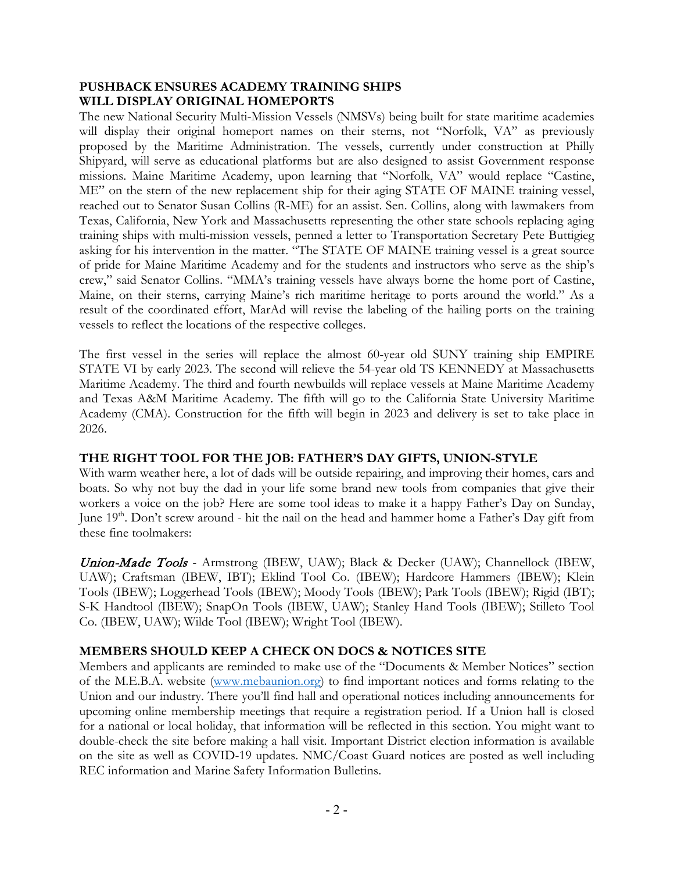## **PUSHBACK ENSURES ACADEMY TRAINING SHIPS WILL DISPLAY ORIGINAL HOMEPORTS**

The new National Security Multi-Mission Vessels (NMSVs) being built for state maritime academies will display their original homeport names on their sterns, not "Norfolk, VA" as previously proposed by the Maritime Administration. The vessels, currently under construction at Philly Shipyard, will serve as educational platforms but are also designed to assist Government response missions. Maine Maritime Academy, upon learning that "Norfolk, VA" would replace "Castine, ME" on the stern of the new replacement ship for their aging STATE OF MAINE training vessel, reached out to Senator Susan Collins (R-ME) for an assist. Sen. Collins, along with lawmakers from Texas, California, New York and Massachusetts representing the other state schools replacing aging training ships with multi-mission vessels, penned a letter to Transportation Secretary Pete Buttigieg asking for his intervention in the matter. "The STATE OF MAINE training vessel is a great source of pride for Maine Maritime Academy and for the students and instructors who serve as the ship's crew," said Senator Collins. "MMA's training vessels have always borne the home port of Castine, Maine, on their sterns, carrying Maine's rich maritime heritage to ports around the world." As a result of the coordinated effort, MarAd will revise the labeling of the hailing ports on the training vessels to reflect the locations of the respective colleges.

The first vessel in the series will replace the almost 60-year old SUNY training ship EMPIRE STATE VI by early 2023. The second will relieve the 54-year old TS KENNEDY at Massachusetts Maritime Academy. The third and fourth newbuilds will replace vessels at Maine Maritime Academy and Texas A&M Maritime Academy. The fifth will go to the California State University Maritime Academy (CMA). Construction for the fifth will begin in 2023 and delivery is set to take place in 2026.

## **THE RIGHT TOOL FOR THE JOB: FATHER'S DAY GIFTS, UNION-STYLE**

With warm weather here, a lot of dads will be outside repairing, and improving their homes, cars and boats. So why not buy the dad in your life some brand new tools from companies that give their workers a voice on the job? Here are some tool ideas to make it a happy Father's Day on Sunday, June 19<sup>th</sup>. Don't screw around - hit the nail on the head and hammer home a Father's Day gift from these fine toolmakers:

Union-Made Tools - Armstrong (IBEW, UAW); Black & Decker (UAW); Channellock (IBEW, UAW); Craftsman (IBEW, IBT); Eklind Tool Co. (IBEW); Hardcore Hammers (IBEW); Klein Tools (IBEW); Loggerhead Tools (IBEW); Moody Tools (IBEW); Park Tools (IBEW); Rigid (IBT); S-K Handtool (IBEW); SnapOn Tools (IBEW, UAW); Stanley Hand Tools (IBEW); Stilleto Tool Co. (IBEW, UAW); Wilde Tool (IBEW); Wright Tool (IBEW).

# **MEMBERS SHOULD KEEP A CHECK ON DOCS & NOTICES SITE**

Members and applicants are reminded to make use of the "Documents & Member Notices" section of the M.E.B.A. website [\(www.mebaunion.org\)](http://www.mebaunion.org/) to find important notices and forms relating to the Union and our industry. There you'll find hall and operational notices including announcements for upcoming online membership meetings that require a registration period. If a Union hall is closed for a national or local holiday, that information will be reflected in this section. You might want to double-check the site before making a hall visit. Important District election information is available on the site as well as COVID-19 updates. NMC/Coast Guard notices are posted as well including REC information and Marine Safety Information Bulletins.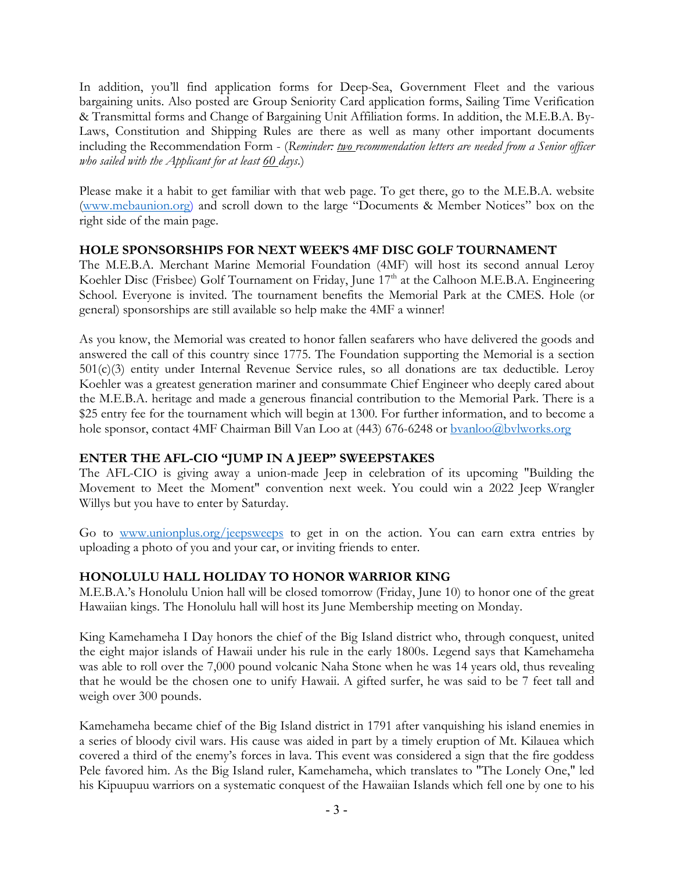In addition, you'll find application forms for Deep-Sea, Government Fleet and the various bargaining units. Also posted are Group Seniority Card application forms, Sailing Time Verification & Transmittal forms and Change of Bargaining Unit Affiliation forms. In addition, the M.E.B.A. By-Laws, Constitution and Shipping Rules are there as well as many other important documents including the Recommendation Form - (*Reminder: two recommendation letters are needed from a Senior officer who sailed with the Applicant for at least 60 days*.)

Please make it a habit to get familiar with that web page. To get there, go to the M.E.B.A. website [\(www.mebaunion.org\)](http://www.mebaunion.org/) and scroll down to the large "Documents & Member Notices" box on the right side of the main page.

## **HOLE SPONSORSHIPS FOR NEXT WEEK'S 4MF DISC GOLF TOURNAMENT**

The M.E.B.A. Merchant Marine Memorial Foundation (4MF) will host its second annual Leroy Koehler Disc (Frisbee) Golf Tournament on Friday, June 17<sup>th</sup> at the Calhoon M.E.B.A. Engineering School. Everyone is invited. The tournament benefits the Memorial Park at the CMES. Hole (or general) sponsorships are still available so help make the 4MF a winner!

As you know, the Memorial was created to honor fallen seafarers who have delivered the goods and answered the call of this country since 1775. The Foundation supporting the Memorial is a section 501(c)(3) entity under Internal Revenue Service rules, so all donations are tax deductible. Leroy Koehler was a greatest generation mariner and consummate Chief Engineer who deeply cared about the M.E.B.A. heritage and made a generous financial contribution to the Memorial Park. There is a \$25 entry fee for the tournament which will begin at 1300. For further information, and to become a hole sponsor, contact 4MF Chairman Bill Van Loo at (443) 676-6248 or [bvanloo@bvlworks.org](mailto:bvanloo@bvlworks.org)

# **ENTER THE AFL-CIO "JUMP IN A JEEP" SWEEPSTAKES**

The AFL-CIO is giving away a union-made Jeep in celebration of its upcoming "Building the Movement to Meet the Moment" convention next week. You could win a 2022 Jeep Wrangler Willys but you have to enter by Saturday.

Go to [www.unionplus.org/jeepsweeps](http://www.unionplus.org/jeepsweeps) to get in on the action. You can earn extra entries by uploading a photo of you and your car, or inviting friends to enter.

# **HONOLULU HALL HOLIDAY TO HONOR WARRIOR KING**

M.E.B.A.'s Honolulu Union hall will be closed tomorrow (Friday, June 10) to honor one of the great Hawaiian kings. The Honolulu hall will host its June Membership meeting on Monday.

King Kamehameha I Day honors the chief of the Big Island district who, through conquest, united the eight major islands of Hawaii under his rule in the early 1800s. Legend says that Kamehameha was able to roll over the 7,000 pound volcanic Naha Stone when he was 14 years old, thus revealing that he would be the chosen one to unify Hawaii. A gifted surfer, he was said to be 7 feet tall and weigh over 300 pounds.

Kamehameha became chief of the Big Island district in 1791 after vanquishing his island enemies in a series of bloody civil wars. His cause was aided in part by a timely eruption of Mt. Kilauea which covered a third of the enemy's forces in lava. This event was considered a sign that the fire goddess Pele favored him. As the Big Island ruler, Kamehameha, which translates to "The Lonely One," led his Kipuupuu warriors on a systematic conquest of the Hawaiian Islands which fell one by one to his